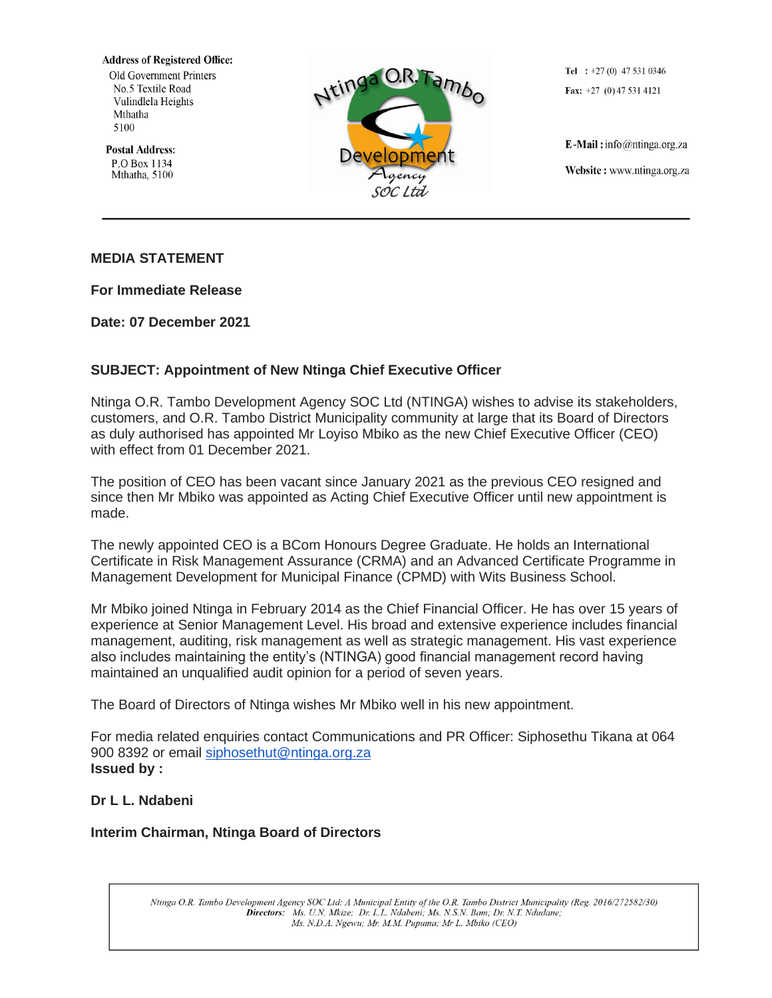**Address of Registered Office:** 

Old Government Printers No.5 Textile Road Vulindlela Heights Mthatha 5100

**Postal Address:** P.O Box 1134 Mthatha, 5100



Tel :  $+27(0)$  47 531 0346 Fax:  $+27$  (0) 47 531 4121

E-Mail: info@ntinga.org.za Website: www.ntinga.org.za

## **MEDIA STATEMENT**

**For Immediate Release**

**Date: 07 December 2021**

## **SUBJECT: Appointment of New Ntinga Chief Executive Officer**

Ntinga O.R. Tambo Development Agency SOC Ltd (NTINGA) wishes to advise its stakeholders, customers, and O.R. Tambo District Municipality community at large that its Board of Directors as duly authorised has appointed Mr Loyiso Mbiko as the new Chief Executive Officer (CEO) with effect from 01 December 2021.

The position of CEO has been vacant since January 2021 as the previous CEO resigned and since then Mr Mbiko was appointed as Acting Chief Executive Officer until new appointment is made.

The newly appointed CEO is a BCom Honours Degree Graduate. He holds an International Certificate in Risk Management Assurance (CRMA) and an Advanced Certificate Programme in Management Development for Municipal Finance (CPMD) with Wits Business School.

Mr Mbiko joined Ntinga in February 2014 as the Chief Financial Officer. He has over 15 years of experience at Senior Management Level. His broad and extensive experience includes financial management, auditing, risk management as well as strategic management. His vast experience also includes maintaining the entity's (NTINGA) good financial management record having maintained an unqualified audit opinion for a period of seven years.

The Board of Directors of Ntinga wishes Mr Mbiko well in his new appointment.

For media related enquiries contact Communications and PR Officer: Siphosethu Tikana at 064 900 8392 or email [siphosethut@ntinga.org.za](mailto:siphosethut@ntinga.org.za) **Issued by :**

## **Dr L L. Ndabeni**

## **Interim Chairman, Ntinga Board of Directors**